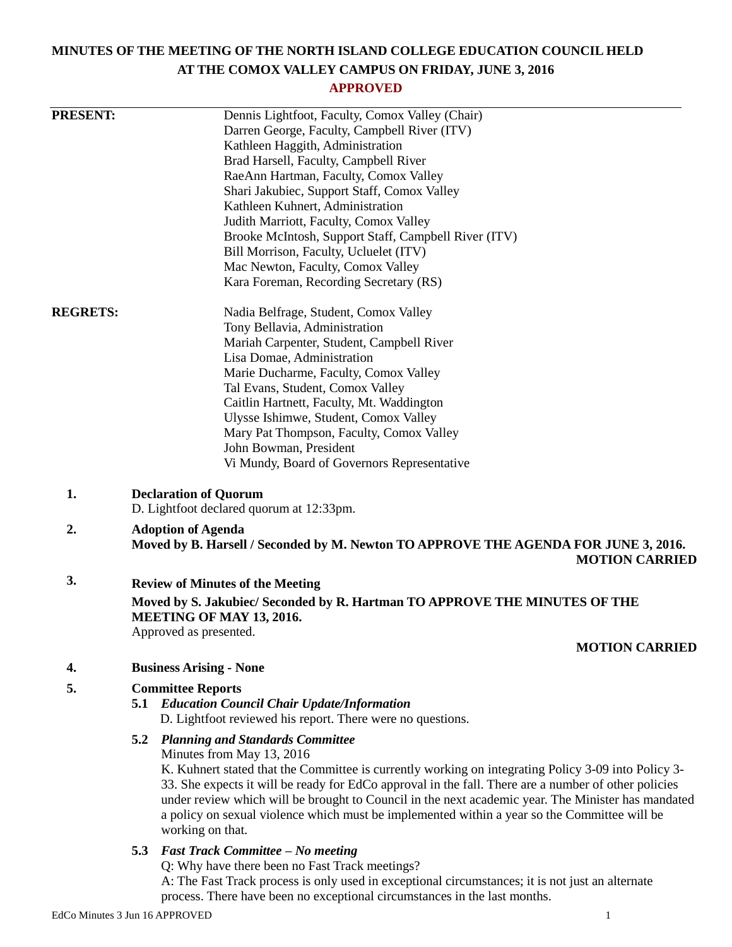# **MINUTES OF THE MEETING OF THE NORTH ISLAND COLLEGE EDUCATION COUNCIL HELD AT THE COMOX VALLEY CAMPUS ON FRIDAY, JUNE 3, 2016**

# **APPROVED**

| <b>PRESENT:</b><br>Dennis Lightfoot, Faculty, Comox Valley (Chair)<br>Darren George, Faculty, Campbell River (ITV)<br>Kathleen Haggith, Administration<br>Brad Harsell, Faculty, Campbell River<br>RaeAnn Hartman, Faculty, Comox Valley<br>Shari Jakubiec, Support Staff, Comox Valley<br>Kathleen Kuhnert, Administration<br>Judith Marriott, Faculty, Comox Valley<br>Brooke McIntosh, Support Staff, Campbell River (ITV)<br>Bill Morrison, Faculty, Ucluelet (ITV)<br>Mac Newton, Faculty, Comox Valley<br>Kara Foreman, Recording Secretary (RS)<br><b>REGRETS:</b><br>Nadia Belfrage, Student, Comox Valley<br>Tony Bellavia, Administration |                       |
|-----------------------------------------------------------------------------------------------------------------------------------------------------------------------------------------------------------------------------------------------------------------------------------------------------------------------------------------------------------------------------------------------------------------------------------------------------------------------------------------------------------------------------------------------------------------------------------------------------------------------------------------------------|-----------------------|
|                                                                                                                                                                                                                                                                                                                                                                                                                                                                                                                                                                                                                                                     |                       |
|                                                                                                                                                                                                                                                                                                                                                                                                                                                                                                                                                                                                                                                     |                       |
|                                                                                                                                                                                                                                                                                                                                                                                                                                                                                                                                                                                                                                                     |                       |
|                                                                                                                                                                                                                                                                                                                                                                                                                                                                                                                                                                                                                                                     |                       |
|                                                                                                                                                                                                                                                                                                                                                                                                                                                                                                                                                                                                                                                     |                       |
|                                                                                                                                                                                                                                                                                                                                                                                                                                                                                                                                                                                                                                                     |                       |
|                                                                                                                                                                                                                                                                                                                                                                                                                                                                                                                                                                                                                                                     |                       |
|                                                                                                                                                                                                                                                                                                                                                                                                                                                                                                                                                                                                                                                     |                       |
|                                                                                                                                                                                                                                                                                                                                                                                                                                                                                                                                                                                                                                                     |                       |
|                                                                                                                                                                                                                                                                                                                                                                                                                                                                                                                                                                                                                                                     |                       |
|                                                                                                                                                                                                                                                                                                                                                                                                                                                                                                                                                                                                                                                     |                       |
|                                                                                                                                                                                                                                                                                                                                                                                                                                                                                                                                                                                                                                                     |                       |
|                                                                                                                                                                                                                                                                                                                                                                                                                                                                                                                                                                                                                                                     |                       |
|                                                                                                                                                                                                                                                                                                                                                                                                                                                                                                                                                                                                                                                     |                       |
| Mariah Carpenter, Student, Campbell River                                                                                                                                                                                                                                                                                                                                                                                                                                                                                                                                                                                                           |                       |
| Lisa Domae, Administration                                                                                                                                                                                                                                                                                                                                                                                                                                                                                                                                                                                                                          |                       |
| Marie Ducharme, Faculty, Comox Valley                                                                                                                                                                                                                                                                                                                                                                                                                                                                                                                                                                                                               |                       |
| Tal Evans, Student, Comox Valley                                                                                                                                                                                                                                                                                                                                                                                                                                                                                                                                                                                                                    |                       |
| Caitlin Hartnett, Faculty, Mt. Waddington                                                                                                                                                                                                                                                                                                                                                                                                                                                                                                                                                                                                           |                       |
| Ulysse Ishimwe, Student, Comox Valley                                                                                                                                                                                                                                                                                                                                                                                                                                                                                                                                                                                                               |                       |
| Mary Pat Thompson, Faculty, Comox Valley                                                                                                                                                                                                                                                                                                                                                                                                                                                                                                                                                                                                            |                       |
| John Bowman, President                                                                                                                                                                                                                                                                                                                                                                                                                                                                                                                                                                                                                              |                       |
| Vi Mundy, Board of Governors Representative                                                                                                                                                                                                                                                                                                                                                                                                                                                                                                                                                                                                         |                       |
| 1.<br><b>Declaration of Quorum</b>                                                                                                                                                                                                                                                                                                                                                                                                                                                                                                                                                                                                                  |                       |
| D. Lightfoot declared quorum at 12:33pm.                                                                                                                                                                                                                                                                                                                                                                                                                                                                                                                                                                                                            |                       |
| 2.<br><b>Adoption of Agenda</b>                                                                                                                                                                                                                                                                                                                                                                                                                                                                                                                                                                                                                     |                       |
| Moved by B. Harsell / Seconded by M. Newton TO APPROVE THE AGENDA FOR JUNE 3, 2016.                                                                                                                                                                                                                                                                                                                                                                                                                                                                                                                                                                 | <b>MOTION CARRIED</b> |
| 3.<br><b>Review of Minutes of the Meeting</b>                                                                                                                                                                                                                                                                                                                                                                                                                                                                                                                                                                                                       |                       |
|                                                                                                                                                                                                                                                                                                                                                                                                                                                                                                                                                                                                                                                     |                       |
| Moved by S. Jakubiec/ Seconded by R. Hartman TO APPROVE THE MINUTES OF THE<br>MEETING OF MAY 13, 2016.                                                                                                                                                                                                                                                                                                                                                                                                                                                                                                                                              |                       |
| Approved as presented.                                                                                                                                                                                                                                                                                                                                                                                                                                                                                                                                                                                                                              | <b>MOTION CARRIED</b> |
| <b>Business Arising - None</b><br>4.                                                                                                                                                                                                                                                                                                                                                                                                                                                                                                                                                                                                                |                       |
| 5.<br><b>Committee Reports</b>                                                                                                                                                                                                                                                                                                                                                                                                                                                                                                                                                                                                                      |                       |
| <b>5.1 Education Council Chair Update/Information</b>                                                                                                                                                                                                                                                                                                                                                                                                                                                                                                                                                                                               |                       |
| D. Lightfoot reviewed his report. There were no questions.                                                                                                                                                                                                                                                                                                                                                                                                                                                                                                                                                                                          |                       |
|                                                                                                                                                                                                                                                                                                                                                                                                                                                                                                                                                                                                                                                     |                       |
| <b>5.2 Planning and Standards Committee</b>                                                                                                                                                                                                                                                                                                                                                                                                                                                                                                                                                                                                         |                       |
|                                                                                                                                                                                                                                                                                                                                                                                                                                                                                                                                                                                                                                                     |                       |
| Minutes from May 13, 2016                                                                                                                                                                                                                                                                                                                                                                                                                                                                                                                                                                                                                           |                       |
| K. Kuhnert stated that the Committee is currently working on integrating Policy 3-09 into Policy 3-                                                                                                                                                                                                                                                                                                                                                                                                                                                                                                                                                 |                       |
| 33. She expects it will be ready for EdCo approval in the fall. There are a number of other policies                                                                                                                                                                                                                                                                                                                                                                                                                                                                                                                                                |                       |
| under review which will be brought to Council in the next academic year. The Minister has mandated                                                                                                                                                                                                                                                                                                                                                                                                                                                                                                                                                  |                       |
| a policy on sexual violence which must be implemented within a year so the Committee will be                                                                                                                                                                                                                                                                                                                                                                                                                                                                                                                                                        |                       |
| working on that.                                                                                                                                                                                                                                                                                                                                                                                                                                                                                                                                                                                                                                    |                       |
| 5.3 Fast Track Committee - No meeting                                                                                                                                                                                                                                                                                                                                                                                                                                                                                                                                                                                                               |                       |
| Q: Why have there been no Fast Track meetings?<br>A: The Fast Track process is only used in exceptional circumstances; it is not just an alternate                                                                                                                                                                                                                                                                                                                                                                                                                                                                                                  |                       |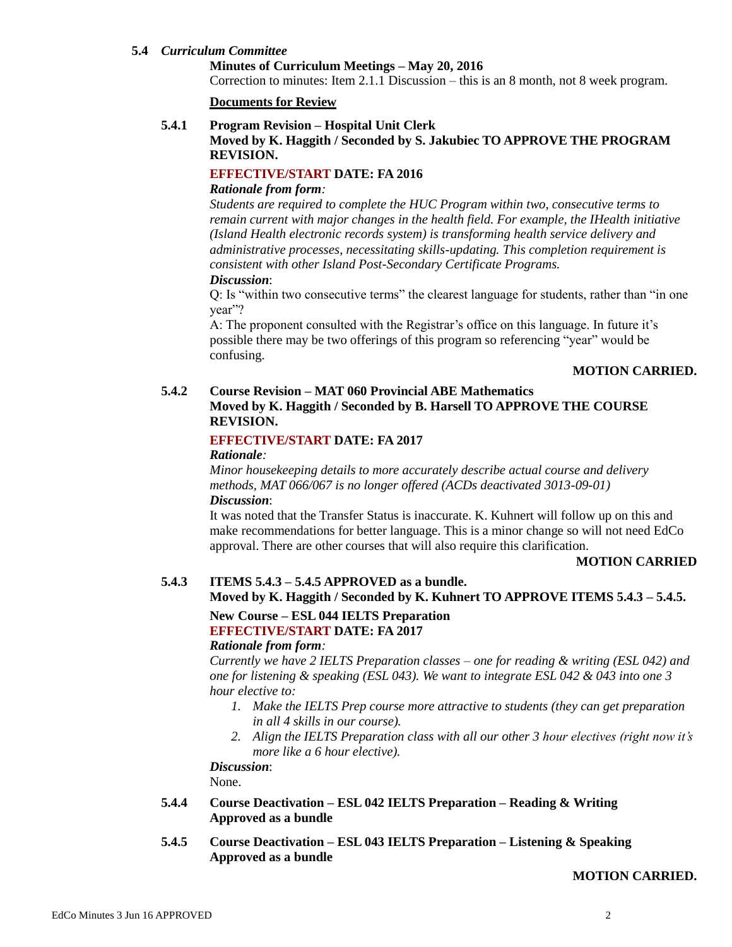### **5.4** *Curriculum Committee*

#### **Minutes of Curriculum Meetings – May 20, 2016**

Correction to minutes: Item 2.1.1 Discussion – this is an 8 month, not 8 week program.

#### **Documents for Review**

#### **5.4.1 Program Revision – Hospital Unit Clerk**

## **Moved by K. Haggith / Seconded by S. Jakubiec TO APPROVE THE PROGRAM REVISION.**

## **EFFECTIVE/START DATE: FA 2016**

#### *Rationale from form:*

*Students are required to complete the HUC Program within two, consecutive terms to remain current with major changes in the health field. For example, the IHealth initiative (Island Health electronic records system) is transforming health service delivery and administrative processes, necessitating skills-updating. This completion requirement is consistent with other Island Post-Secondary Certificate Programs. Discussion*:

Q: Is "within two consecutive terms" the clearest language for students, rather than "in one year"?

A: The proponent consulted with the Registrar's office on this language. In future it's possible there may be two offerings of this program so referencing "year" would be confusing.

#### **MOTION CARRIED.**

# **5.4.2 Course Revision – MAT 060 Provincial ABE Mathematics**

# **Moved by K. Haggith / Seconded by B. Harsell TO APPROVE THE COURSE REVISION.**

# **EFFECTIVE/START DATE: FA 2017**

### *Rationale:*

*Minor housekeeping details to more accurately describe actual course and delivery methods, MAT 066/067 is no longer offered (ACDs deactivated 3013-09-01) Discussion*:

It was noted that the Transfer Status is inaccurate. K. Kuhnert will follow up on this and make recommendations for better language. This is a minor change so will not need EdCo approval. There are other courses that will also require this clarification.

#### **MOTION CARRIED**

# **5.4.3 ITEMS 5.4.3 – 5.4.5 APPROVED as a bundle.**

## **Moved by K. Haggith / Seconded by K. Kuhnert TO APPROVE ITEMS 5.4.3 – 5.4.5.**

## **New Course – ESL 044 IELTS Preparation EFFECTIVE/START DATE: FA 2017**

#### *Rationale from form:*

*Currently we have 2 IELTS Preparation classes – one for reading & writing (ESL 042) and one for listening & speaking (ESL 043). We want to integrate ESL 042 & 043 into one 3 hour elective to:*

- *1. Make the IELTS Prep course more attractive to students (they can get preparation in all 4 skills in our course).*
- *2. Align the IELTS Preparation class with all our other 3 hour electives (right now it's more like a 6 hour elective).*

*Discussion*: None.

- **5.4.4 Course Deactivation – ESL 042 IELTS Preparation – Reading & Writing Approved as a bundle**
- **5.4.5 Course Deactivation – ESL 043 IELTS Preparation – Listening & Speaking Approved as a bundle**

## **MOTION CARRIED.**